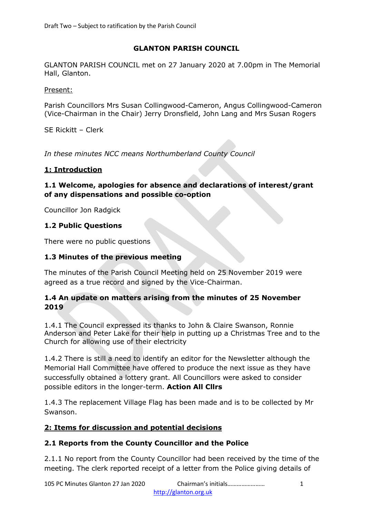# **GLANTON PARISH COUNCIL**

GLANTON PARISH COUNCIL met on 27 January 2020 at 7.00pm in The Memorial Hall, Glanton.

Present:

Parish Councillors Mrs Susan Collingwood-Cameron, Angus Collingwood-Cameron (Vice-Chairman in the Chair) Jerry Dronsfield, John Lang and Mrs Susan Rogers

SE Rickitt – Clerk

*In these minutes NCC means Northumberland County Council*

### **1: Introduction**

### **1.1 Welcome, apologies for absence and declarations of interest/grant of any dispensations and possible co-option**

Councillor Jon Radgick

# **1.2 Public Questions**

There were no public questions

# **1.3 Minutes of the previous meeting**

The minutes of the Parish Council Meeting held on 25 November 2019 were agreed as a true record and signed by the Vice-Chairman.

# **1.4 An update on matters arising from the minutes of 25 November 2019**

1.4.1 The Council expressed its thanks to John & Claire Swanson, Ronnie Anderson and Peter Lake for their help in putting up a Christmas Tree and to the Church for allowing use of their electricity

1.4.2 There is still a need to identify an editor for the Newsletter although the Memorial Hall Committee have offered to produce the next issue as they have successfully obtained a lottery grant. All Councillors were asked to consider possible editors in the longer-term. **Action All Cllrs**

1.4.3 The replacement Village Flag has been made and is to be collected by Mr Swanson.

# **2: Items for discussion and potential decisions**

# **2.1 Reports from the County Councillor and the Police**

2.1.1 No report from the County Councillor had been received by the time of the meeting. The clerk reported receipt of a letter from the Police giving details of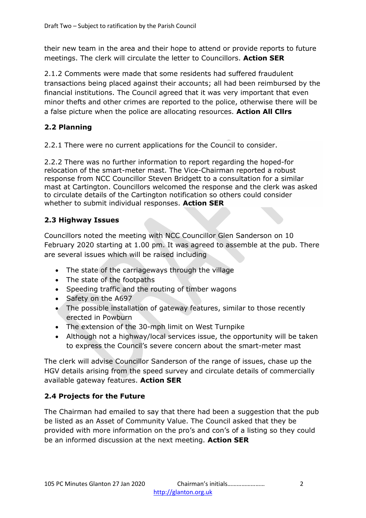their new team in the area and their hope to attend or provide reports to future meetings. The clerk will circulate the letter to Councillors. **Action SER**

2.1.2 Comments were made that some residents had suffered fraudulent transactions being placed against their accounts; all had been reimbursed by the financial institutions. The Council agreed that it was very important that even minor thefts and other crimes are reported to the police, otherwise there will be a false picture when the police are allocating resources. **Action All Cllrs**

# **2.2 Planning**

2.2.1 There were no current applications for the Council to consider.

2.2.2 There was no further information to report regarding the hoped-for relocation of the smart-meter mast. The Vice-Chairman reported a robust response from NCC Councillor Steven Bridgett to a consultation for a similar mast at Cartington. Councillors welcomed the response and the clerk was asked to circulate details of the Cartington notification so others could consider whether to submit individual responses. **Action SER**

# **2.3 Highway Issues**

Councillors noted the meeting with NCC Councillor Glen Sanderson on 10 February 2020 starting at 1.00 pm. It was agreed to assemble at the pub. There are several issues which will be raised including

- The state of the carriageways through the village
- The state of the footpaths
- Speeding traffic and the routing of timber wagons
- Safety on the A697
- The possible installation of gateway features, similar to those recently erected in Powburn
- The extension of the 30-mph limit on West Turnpike
- Although not a highway/local services issue, the opportunity will be taken to express the Council's severe concern about the smart-meter mast

The clerk will advise Councillor Sanderson of the range of issues, chase up the HGV details arising from the speed survey and circulate details of commercially available gateway features. **Action SER**

# **2.4 Projects for the Future**

The Chairman had emailed to say that there had been a suggestion that the pub be listed as an Asset of Community Value. The Council asked that they be provided with more information on the pro's and con's of a listing so they could be an informed discussion at the next meeting. **Action SER**